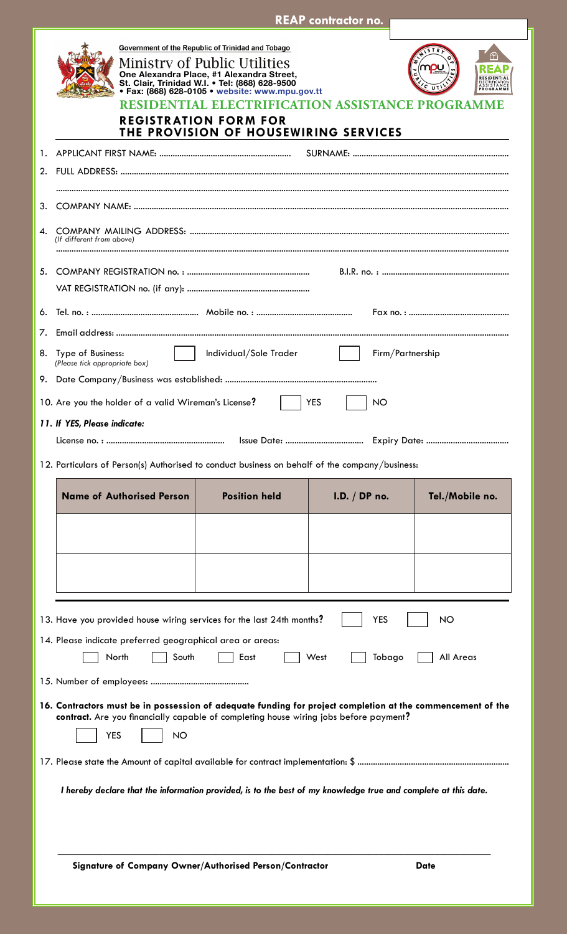|    | <b>REAP contractor no.</b>                                                                                                                                                                                                                                                                                                                                                          |
|----|-------------------------------------------------------------------------------------------------------------------------------------------------------------------------------------------------------------------------------------------------------------------------------------------------------------------------------------------------------------------------------------|
|    | Government of the Republic of Trinidad and Tobago<br>ᢡ<br><b>Ministry of Public Utilities</b><br>One Alexandra Place, #1 Alexandra Street,<br>St. Clair, Trinidad W.I. . Tel: (868) 628-9500<br>• Fax: (868) 628-0105 • website: www.mpu.gov.tt<br><b>RESIDENTIAL ELECTRIFICATION ASSISTANCE PROGRAMME</b><br><b>REGISTRATION FORM FOR</b><br>THE PROVISION OF HOUSEWIRING SERVICES |
|    |                                                                                                                                                                                                                                                                                                                                                                                     |
|    |                                                                                                                                                                                                                                                                                                                                                                                     |
|    |                                                                                                                                                                                                                                                                                                                                                                                     |
| 3. |                                                                                                                                                                                                                                                                                                                                                                                     |
| 4. | (If different from above)                                                                                                                                                                                                                                                                                                                                                           |
|    |                                                                                                                                                                                                                                                                                                                                                                                     |
| 6. |                                                                                                                                                                                                                                                                                                                                                                                     |
| 7. |                                                                                                                                                                                                                                                                                                                                                                                     |
|    | 8. Type of Business:<br>Individual/Sole Trader<br>Firm/Partnership<br>(Please tick appropriate box)                                                                                                                                                                                                                                                                                 |
|    |                                                                                                                                                                                                                                                                                                                                                                                     |
|    | 10. Are you the holder of a valid Wireman's License?<br><b>YES</b><br><b>NO</b>                                                                                                                                                                                                                                                                                                     |
|    | 11. If YES, Please indicate:                                                                                                                                                                                                                                                                                                                                                        |
|    |                                                                                                                                                                                                                                                                                                                                                                                     |
|    | 12. Particulars of Person(s) Authorised to conduct business on behalf of the company/business:                                                                                                                                                                                                                                                                                      |
|    | <b>Name of Authorised Person</b><br><b>Position held</b><br>Tel./Mobile no.<br>I.D. / DP no.                                                                                                                                                                                                                                                                                        |
|    |                                                                                                                                                                                                                                                                                                                                                                                     |
|    |                                                                                                                                                                                                                                                                                                                                                                                     |
|    |                                                                                                                                                                                                                                                                                                                                                                                     |
|    |                                                                                                                                                                                                                                                                                                                                                                                     |
|    | <b>YES</b><br>13. Have you provided house wiring services for the last 24th months?<br><b>NO</b>                                                                                                                                                                                                                                                                                    |
|    | 14. Please indicate preferred geographical area or areas:                                                                                                                                                                                                                                                                                                                           |
|    | North<br>East<br>All Areas<br>South<br>West<br>Tobago                                                                                                                                                                                                                                                                                                                               |
|    |                                                                                                                                                                                                                                                                                                                                                                                     |
|    | 16. Contractors must be in possession of adequate funding for project completion at the commencement of the<br>contract. Are you financially capable of completing house wiring jobs before payment?<br><b>YES</b><br><b>NO</b>                                                                                                                                                     |
|    | I hereby declare that the information provided, is to the best of my knowledge true and complete at this date.                                                                                                                                                                                                                                                                      |
|    | Signature of Company Owner/Authorised Person/Contractor<br><b>Date</b>                                                                                                                                                                                                                                                                                                              |